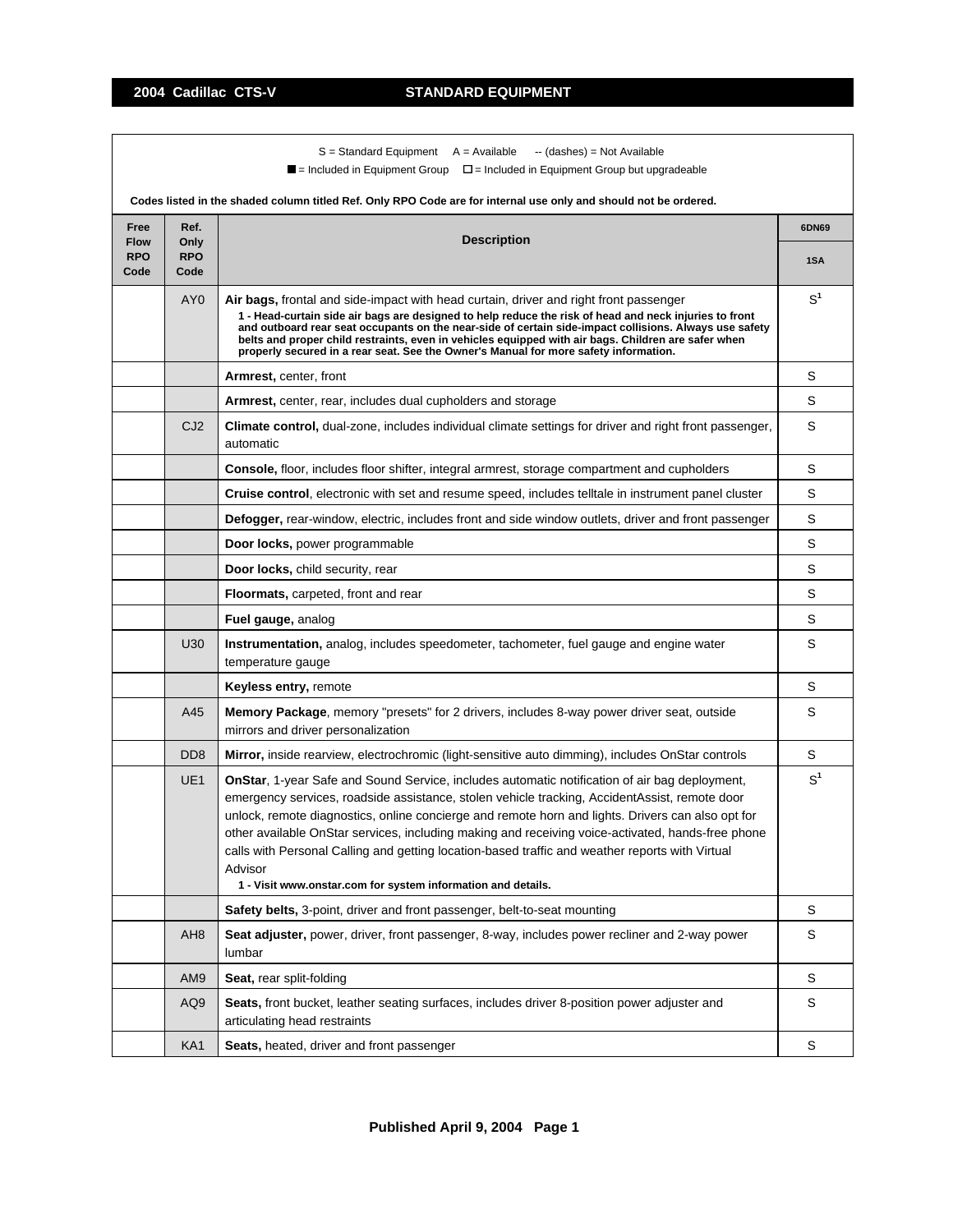$S =$  Standard Equipment  $A =$  Available  $-$  (dashes) = Not Available

 $\blacksquare$  = Included in Equipment Group  $\blacksquare$  = Included in Equipment Group but upgradeable

| Free                              | Ref.                        |                                                                                                                                                                                                                                                                                                                                                                                                                                                                                                                                                                                               | 6DN69          |
|-----------------------------------|-----------------------------|-----------------------------------------------------------------------------------------------------------------------------------------------------------------------------------------------------------------------------------------------------------------------------------------------------------------------------------------------------------------------------------------------------------------------------------------------------------------------------------------------------------------------------------------------------------------------------------------------|----------------|
| <b>Flow</b><br><b>RPO</b><br>Code | Only<br><b>RPO</b><br>Code  | <b>Description</b>                                                                                                                                                                                                                                                                                                                                                                                                                                                                                                                                                                            | 1SA            |
|                                   | AY <sub>0</sub>             | Air bags, frontal and side-impact with head curtain, driver and right front passenger<br>1 - Head-curtain side air bags are designed to help reduce the risk of head and neck injuries to front<br>and outboard rear seat occupants on the near-side of certain side-impact collisions. Always use safety<br>belts and proper child restraints, even in vehicles equipped with air bags. Children are safer when<br>properly secured in a rear seat. See the Owner's Manual for more safety information.                                                                                      | $S^1$          |
|                                   |                             | <b>Armrest, center, front</b>                                                                                                                                                                                                                                                                                                                                                                                                                                                                                                                                                                 | S              |
|                                   |                             | <b>Armrest, center, rear, includes dual cupholders and storage</b>                                                                                                                                                                                                                                                                                                                                                                                                                                                                                                                            | S              |
|                                   | CJ <sub>2</sub>             | Climate control, dual-zone, includes individual climate settings for driver and right front passenger,<br>automatic                                                                                                                                                                                                                                                                                                                                                                                                                                                                           | S              |
|                                   |                             | <b>Console, floor, includes floor shifter, integral armrest, storage compartment and cupholders</b>                                                                                                                                                                                                                                                                                                                                                                                                                                                                                           | S              |
|                                   |                             | Cruise control, electronic with set and resume speed, includes telltale in instrument panel cluster                                                                                                                                                                                                                                                                                                                                                                                                                                                                                           | S              |
|                                   |                             | Defogger, rear-window, electric, includes front and side window outlets, driver and front passenger                                                                                                                                                                                                                                                                                                                                                                                                                                                                                           | S              |
|                                   |                             | Door locks, power programmable                                                                                                                                                                                                                                                                                                                                                                                                                                                                                                                                                                | S              |
|                                   |                             | Door locks, child security, rear                                                                                                                                                                                                                                                                                                                                                                                                                                                                                                                                                              | S              |
|                                   |                             | Floormats, carpeted, front and rear                                                                                                                                                                                                                                                                                                                                                                                                                                                                                                                                                           | S              |
|                                   |                             | Fuel gauge, analog                                                                                                                                                                                                                                                                                                                                                                                                                                                                                                                                                                            | S              |
|                                   | U30                         | <b>Instrumentation,</b> analog, includes speedometer, tachometer, fuel gauge and engine water<br>temperature gauge                                                                                                                                                                                                                                                                                                                                                                                                                                                                            | S              |
|                                   |                             | <b>Keyless entry, remote</b>                                                                                                                                                                                                                                                                                                                                                                                                                                                                                                                                                                  | S              |
|                                   | A45                         | Memory Package, memory "presets" for 2 drivers, includes 8-way power driver seat, outside<br>mirrors and driver personalization                                                                                                                                                                                                                                                                                                                                                                                                                                                               | S              |
|                                   | D <sub>D</sub> <sub>8</sub> | Mirror, inside rearview, electrochromic (light-sensitive auto dimming), includes OnStar controls                                                                                                                                                                                                                                                                                                                                                                                                                                                                                              | S              |
|                                   | UE <sub>1</sub>             | <b>OnStar, 1-year Safe and Sound Service, includes automatic notification of air bag deployment,</b><br>emergency services, roadside assistance, stolen vehicle tracking, AccidentAssist, remote door<br>unlock, remote diagnostics, online concierge and remote horn and lights. Drivers can also opt for<br>other available OnStar services, including making and receiving voice-activated, hands-free phone<br>calls with Personal Calling and getting location-based traffic and weather reports with Virtual<br>Advisor<br>1 - Visit www.onstar.com for system information and details. | S <sup>1</sup> |
|                                   |                             | Safety belts, 3-point, driver and front passenger, belt-to-seat mounting                                                                                                                                                                                                                                                                                                                                                                                                                                                                                                                      | S              |
|                                   | AH <sub>8</sub>             | Seat adjuster, power, driver, front passenger, 8-way, includes power recliner and 2-way power<br>lumbar                                                                                                                                                                                                                                                                                                                                                                                                                                                                                       | S              |
|                                   | AM <sub>9</sub>             | Seat, rear split-folding                                                                                                                                                                                                                                                                                                                                                                                                                                                                                                                                                                      | S              |
|                                   | AQ <sub>9</sub>             | Seats, front bucket, leather seating surfaces, includes driver 8-position power adjuster and<br>articulating head restraints                                                                                                                                                                                                                                                                                                                                                                                                                                                                  | S              |
|                                   | KA1                         | Seats, heated, driver and front passenger                                                                                                                                                                                                                                                                                                                                                                                                                                                                                                                                                     | $\mathbb S$    |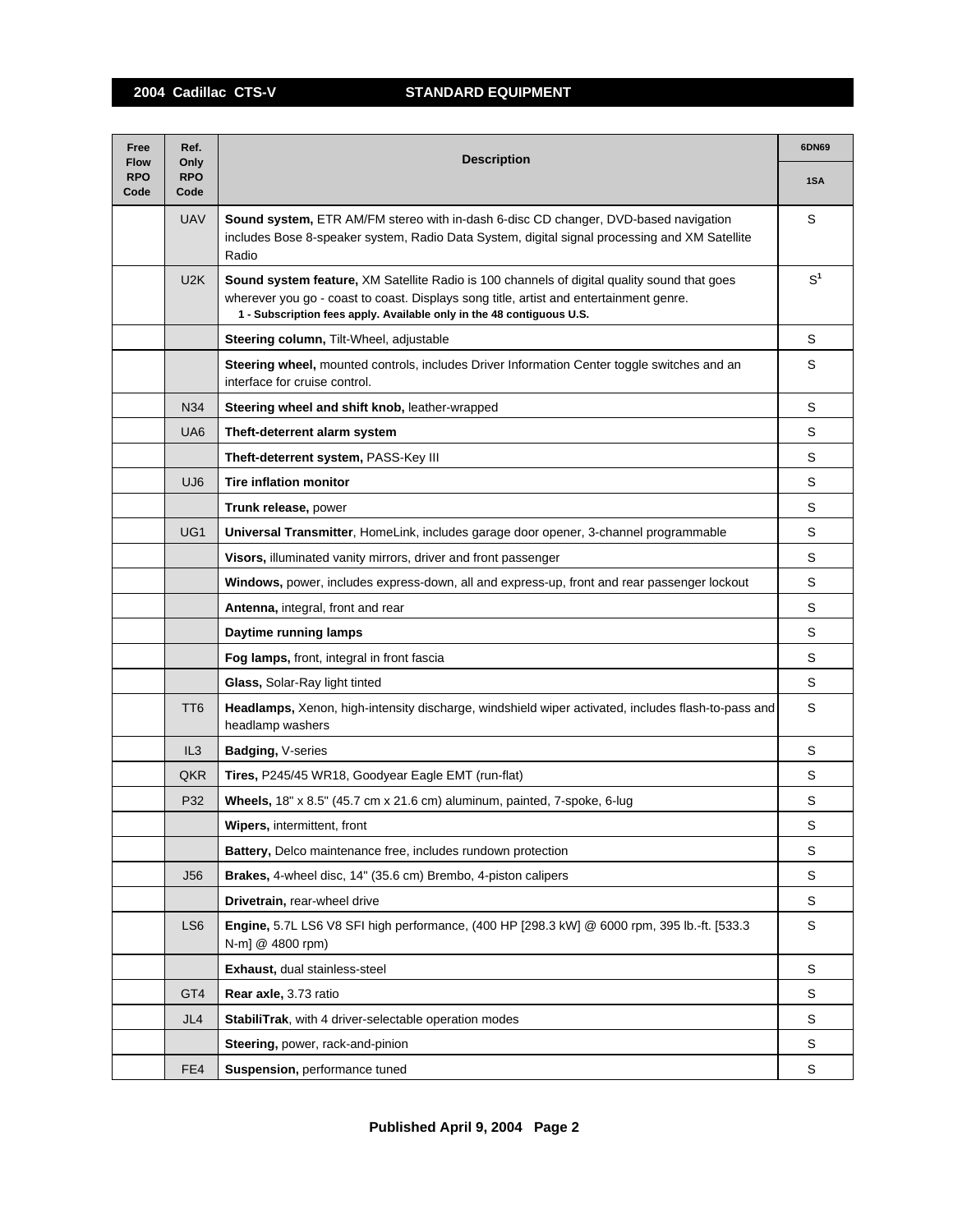| Free                              | Ref.                       | <b>Description</b>                                                                                                                                                                                                                                                    |             |  |
|-----------------------------------|----------------------------|-----------------------------------------------------------------------------------------------------------------------------------------------------------------------------------------------------------------------------------------------------------------------|-------------|--|
| <b>Flow</b><br><b>RPO</b><br>Code | Only<br><b>RPO</b><br>Code |                                                                                                                                                                                                                                                                       | 1SA         |  |
|                                   | <b>UAV</b>                 | Sound system, ETR AM/FM stereo with in-dash 6-disc CD changer, DVD-based navigation<br>includes Bose 8-speaker system, Radio Data System, digital signal processing and XM Satellite<br>Radio                                                                         | S           |  |
|                                   | U <sub>2</sub> K           | <b>Sound system feature, XM Satellite Radio is 100 channels of digital quality sound that goes</b><br>wherever you go - coast to coast. Displays song title, artist and entertainment genre.<br>1 - Subscription fees apply. Available only in the 48 contiguous U.S. | $S^1$       |  |
|                                   |                            | Steering column, Tilt-Wheel, adjustable                                                                                                                                                                                                                               | S           |  |
|                                   |                            | Steering wheel, mounted controls, includes Driver Information Center toggle switches and an<br>interface for cruise control.                                                                                                                                          | S           |  |
|                                   | N34                        | Steering wheel and shift knob, leather-wrapped                                                                                                                                                                                                                        | S           |  |
|                                   | UA <sub>6</sub>            | Theft-deterrent alarm system                                                                                                                                                                                                                                          | S           |  |
|                                   |                            | Theft-deterrent system, PASS-Key III                                                                                                                                                                                                                                  | S           |  |
|                                   | UJ <sub>6</sub>            | <b>Tire inflation monitor</b>                                                                                                                                                                                                                                         | S           |  |
|                                   |                            | Trunk release, power                                                                                                                                                                                                                                                  | S           |  |
|                                   | UG <sub>1</sub>            | Universal Transmitter, HomeLink, includes garage door opener, 3-channel programmable                                                                                                                                                                                  | S           |  |
|                                   |                            | Visors, illuminated vanity mirrors, driver and front passenger                                                                                                                                                                                                        | S           |  |
|                                   |                            | Windows, power, includes express-down, all and express-up, front and rear passenger lockout                                                                                                                                                                           | S           |  |
|                                   |                            | Antenna, integral, front and rear                                                                                                                                                                                                                                     | S           |  |
|                                   |                            | Daytime running lamps                                                                                                                                                                                                                                                 | S           |  |
|                                   |                            | Fog lamps, front, integral in front fascia                                                                                                                                                                                                                            | S           |  |
|                                   |                            | Glass, Solar-Ray light tinted                                                                                                                                                                                                                                         | S           |  |
|                                   | TT <sub>6</sub>            | Headlamps, Xenon, high-intensity discharge, windshield wiper activated, includes flash-to-pass and<br>headlamp washers                                                                                                                                                | S           |  |
|                                   | IL3                        | Badging, V-series                                                                                                                                                                                                                                                     | S           |  |
|                                   | QKR                        | Tires, P245/45 WR18, Goodyear Eagle EMT (run-flat)                                                                                                                                                                                                                    | S           |  |
|                                   | P32                        | Wheels, 18" x 8.5" (45.7 cm x 21.6 cm) aluminum, painted, 7-spoke, 6-lug                                                                                                                                                                                              | S           |  |
|                                   |                            | <b>Wipers, intermittent, front</b>                                                                                                                                                                                                                                    | S           |  |
|                                   |                            | Battery, Delco maintenance free, includes rundown protection                                                                                                                                                                                                          | S           |  |
|                                   | <b>J56</b>                 | Brakes, 4-wheel disc, 14" (35.6 cm) Brembo, 4-piston calipers                                                                                                                                                                                                         | S           |  |
|                                   |                            | Drivetrain, rear-wheel drive                                                                                                                                                                                                                                          | S           |  |
|                                   | LS <sub>6</sub>            | Engine, 5.7L LS6 V8 SFI high performance, (400 HP [298.3 kW] @ 6000 rpm, 395 lb.-ft. [533.3<br>N-m] @ 4800 rpm)                                                                                                                                                       | $\mathbb S$ |  |
|                                   |                            | Exhaust, dual stainless-steel                                                                                                                                                                                                                                         | S           |  |
|                                   | GT4                        | Rear axle, 3.73 ratio                                                                                                                                                                                                                                                 | S           |  |
|                                   | JL4                        | StabiliTrak, with 4 driver-selectable operation modes                                                                                                                                                                                                                 | S           |  |
|                                   |                            | <b>Steering, power, rack-and-pinion</b>                                                                                                                                                                                                                               | S           |  |
|                                   | FE4                        | Suspension, performance tuned                                                                                                                                                                                                                                         | S           |  |
|                                   |                            |                                                                                                                                                                                                                                                                       |             |  |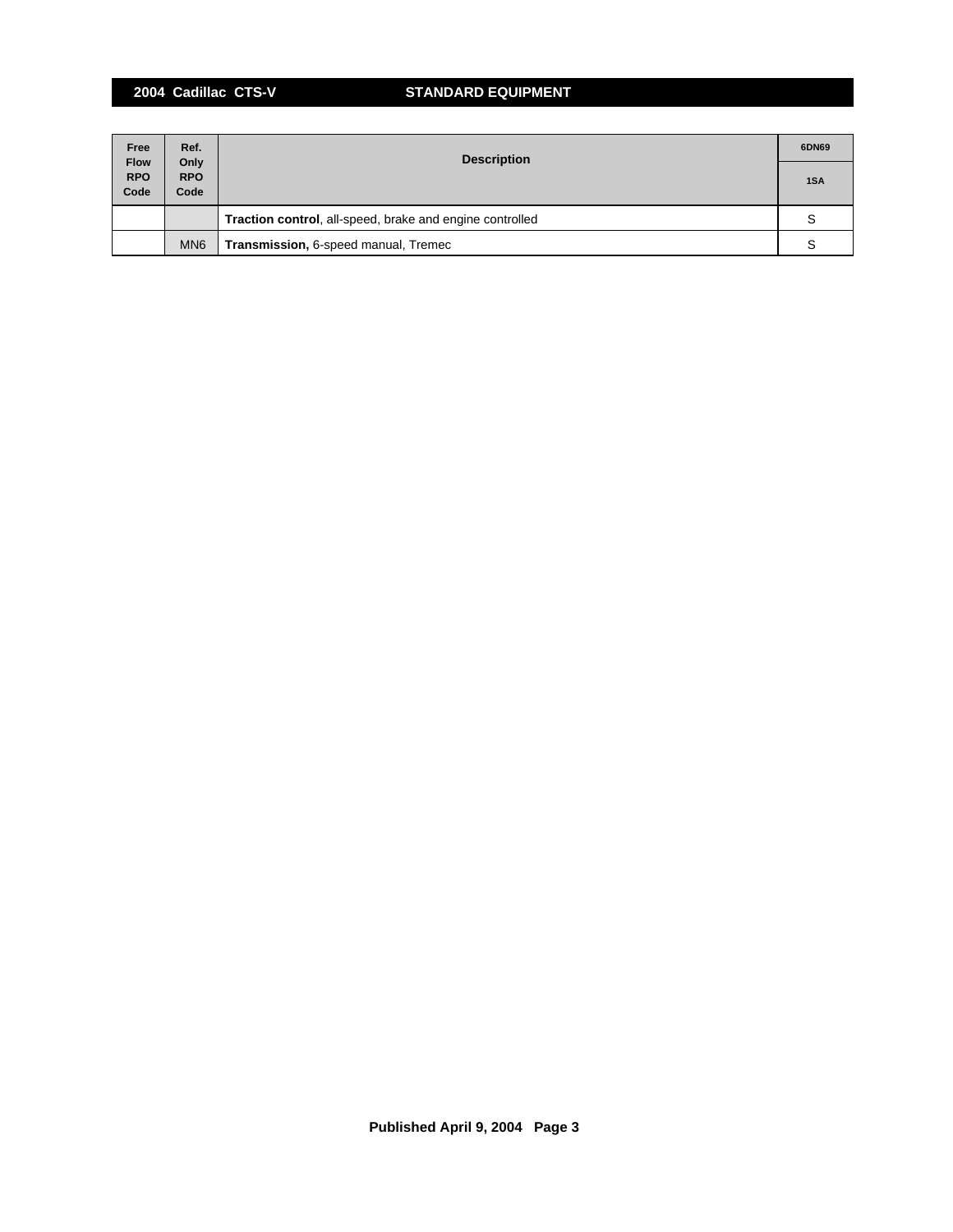## **2004 Cadillac CTS-V STANDARD EQUIPMENT**

| Free                              | Ref.                       | <b>Description</b>                                       | 6DN69 |
|-----------------------------------|----------------------------|----------------------------------------------------------|-------|
| <b>Flow</b><br><b>RPO</b><br>Code | Only<br><b>RPO</b><br>Code |                                                          | 1SA   |
|                                   |                            | Traction control, all-speed, brake and engine controlled |       |
|                                   | MN <sub>6</sub>            | Transmission, 6-speed manual, Tremec                     |       |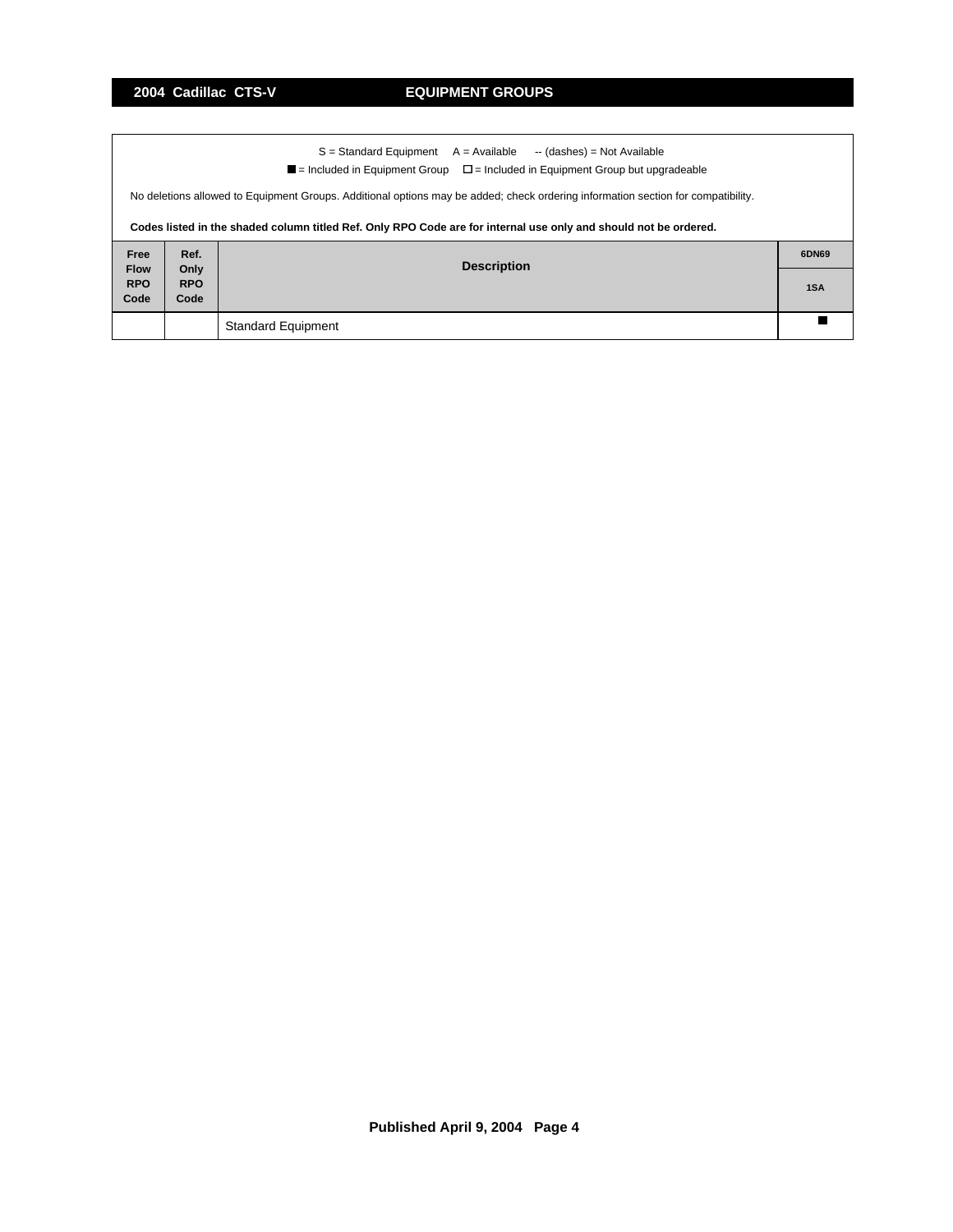|             |                                                                                                                                  | S = Standard Equipment<br>A = Available<br>-- (dashes) = Not Available                                           |       |  |  |  |  |  |
|-------------|----------------------------------------------------------------------------------------------------------------------------------|------------------------------------------------------------------------------------------------------------------|-------|--|--|--|--|--|
|             | $\blacksquare$ = Included in Equipment Group<br>$\Box$ = Included in Equipment Group but upgradeable                             |                                                                                                                  |       |  |  |  |  |  |
|             | No deletions allowed to Equipment Groups. Additional options may be added; check ordering information section for compatibility. |                                                                                                                  |       |  |  |  |  |  |
|             |                                                                                                                                  | Codes listed in the shaded column titled Ref. Only RPO Code are for internal use only and should not be ordered. |       |  |  |  |  |  |
| Free        | Ref.                                                                                                                             |                                                                                                                  | 6DN69 |  |  |  |  |  |
| <b>Flow</b> | Only                                                                                                                             | <b>Description</b>                                                                                               |       |  |  |  |  |  |
| <b>RPO</b>  | <b>RPO</b>                                                                                                                       |                                                                                                                  | 1SA   |  |  |  |  |  |
| Code        | Code                                                                                                                             |                                                                                                                  |       |  |  |  |  |  |
|             |                                                                                                                                  | <b>Standard Equipment</b>                                                                                        |       |  |  |  |  |  |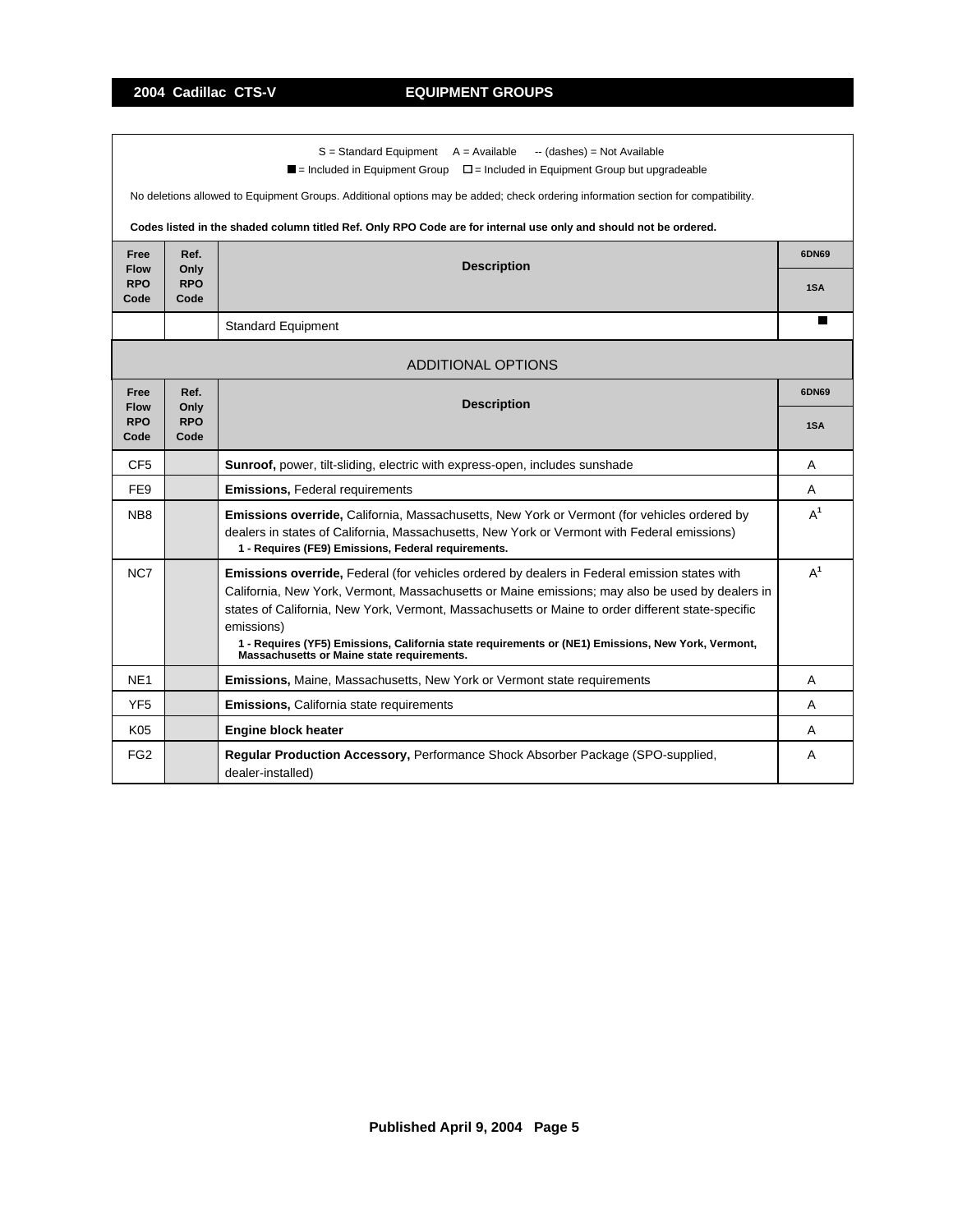٦

|                           |                    | $S =$ Standard Equipment $A =$ Available<br>-- (dashes) = Not Available<br>$\blacksquare$ = Included in Equipment Group $\square$ = Included in Equipment Group but upgradeable                        |       |  |  |
|---------------------------|--------------------|--------------------------------------------------------------------------------------------------------------------------------------------------------------------------------------------------------|-------|--|--|
|                           |                    | No deletions allowed to Equipment Groups. Additional options may be added; check ordering information section for compatibility.                                                                       |       |  |  |
|                           |                    |                                                                                                                                                                                                        |       |  |  |
|                           |                    | Codes listed in the shaded column titled Ref. Only RPO Code are for internal use only and should not be ordered.                                                                                       |       |  |  |
| Free                      | Ref.               | <b>Description</b>                                                                                                                                                                                     | 6DN69 |  |  |
| <b>Flow</b><br><b>RPO</b> | Only<br><b>RPO</b> |                                                                                                                                                                                                        |       |  |  |
| Code                      | Code               |                                                                                                                                                                                                        |       |  |  |
|                           |                    | <b>Standard Equipment</b>                                                                                                                                                                              | П     |  |  |
|                           |                    |                                                                                                                                                                                                        |       |  |  |
|                           |                    | <b>ADDITIONAL OPTIONS</b>                                                                                                                                                                              |       |  |  |
| Free<br><b>Flow</b>       | Ref.<br>Only       | <b>Description</b>                                                                                                                                                                                     |       |  |  |
| <b>RPO</b>                | <b>RPO</b>         |                                                                                                                                                                                                        |       |  |  |
| Code                      | Code               |                                                                                                                                                                                                        |       |  |  |
| CF <sub>5</sub>           |                    | Sunroof, power, tilt-sliding, electric with express-open, includes sunshade                                                                                                                            | A     |  |  |
| FE <sub>9</sub>           |                    | <b>Emissions, Federal requirements</b>                                                                                                                                                                 | A     |  |  |
| NB <sub>8</sub>           |                    | <b>Emissions override, California, Massachusetts, New York or Vermont (for vehicles ordered by</b>                                                                                                     | $A^1$ |  |  |
|                           |                    | dealers in states of California, Massachusetts, New York or Vermont with Federal emissions)                                                                                                            |       |  |  |
|                           |                    | 1 - Requires (FE9) Emissions, Federal requirements.                                                                                                                                                    |       |  |  |
| NC7                       |                    | <b>Emissions override, Federal (for vehicles ordered by dealers in Federal emission states with</b><br>California, New York, Vermont, Massachusetts or Maine emissions; may also be used by dealers in | $A^1$ |  |  |
|                           |                    | states of California, New York, Vermont, Massachusetts or Maine to order different state-specific                                                                                                      |       |  |  |
|                           |                    | emissions)                                                                                                                                                                                             |       |  |  |
|                           |                    | 1 - Requires (YF5) Emissions, California state requirements or (NE1) Emissions, New York, Vermont,<br>Massachusetts or Maine state requirements.                                                       |       |  |  |
| NE <sub>1</sub>           |                    | Emissions, Maine, Massachusetts, New York or Vermont state requirements                                                                                                                                | A     |  |  |
| YF <sub>5</sub>           |                    | <b>Emissions, California state requirements</b>                                                                                                                                                        | A     |  |  |
| K05                       |                    | <b>Engine block heater</b>                                                                                                                                                                             | A     |  |  |
| FG <sub>2</sub>           |                    | Regular Production Accessory, Performance Shock Absorber Package (SPO-supplied,<br>dealer-installed)                                                                                                   | A     |  |  |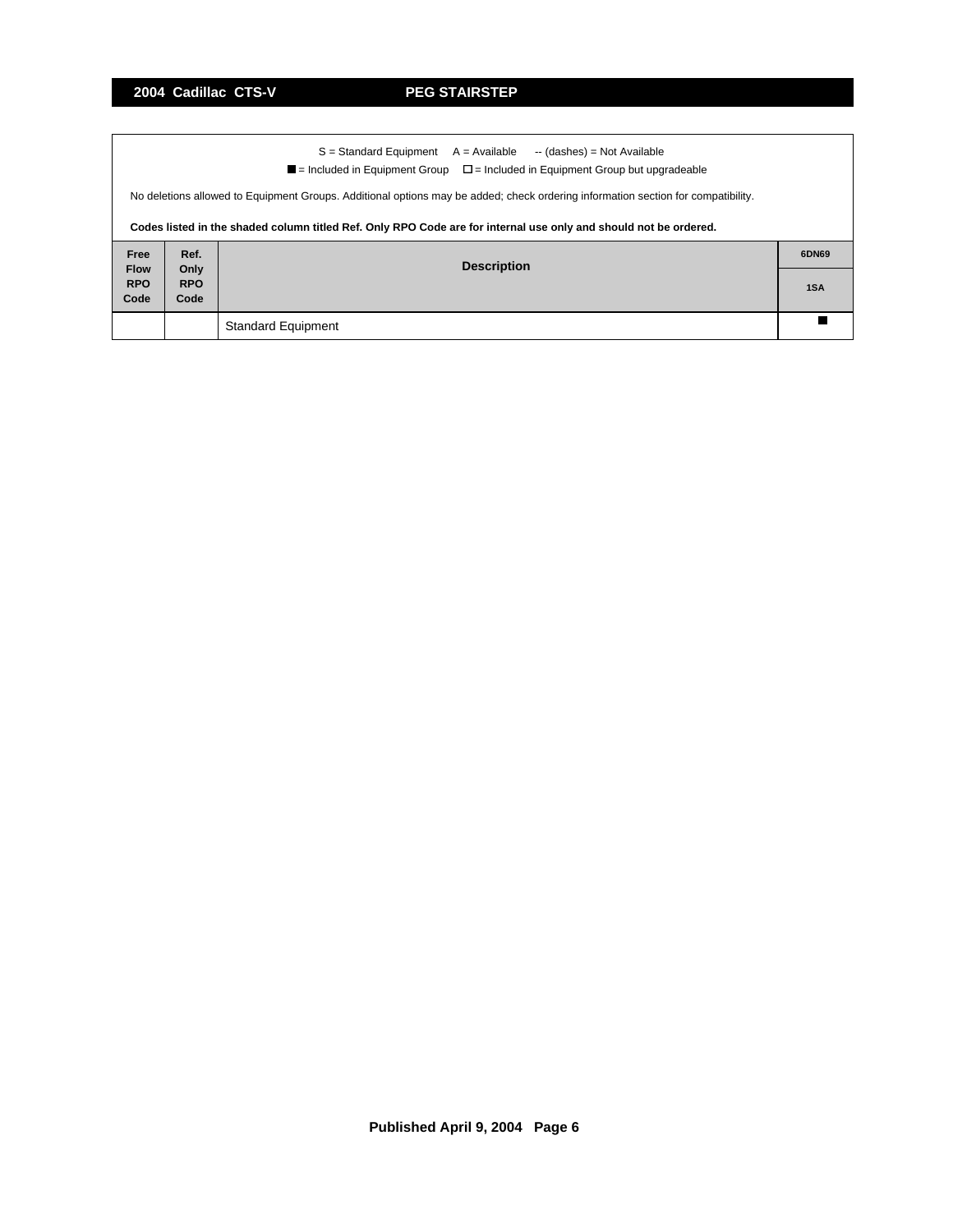$\mathbf{r}$ 

|                     | $S =$ Standard Equipment $A =$ Available $\rightarrow$ (dashes) = Not Available<br>$\blacksquare$ = Included in Equipment Group $\square$ = Included in Equipment Group but upgradeable |                           |  |  |  |  |  |  |
|---------------------|-----------------------------------------------------------------------------------------------------------------------------------------------------------------------------------------|---------------------------|--|--|--|--|--|--|
|                     | No deletions allowed to Equipment Groups. Additional options may be added; check ordering information section for compatibility.                                                        |                           |  |  |  |  |  |  |
|                     | Codes listed in the shaded column titled Ref. Only RPO Code are for internal use only and should not be ordered.                                                                        |                           |  |  |  |  |  |  |
| Free<br><b>Flow</b> | Ref.<br><b>Description</b>                                                                                                                                                              |                           |  |  |  |  |  |  |
| <b>RPO</b><br>Code  | Only<br><b>RPO</b><br>1SA<br>Code                                                                                                                                                       |                           |  |  |  |  |  |  |
|                     |                                                                                                                                                                                         | <b>Standard Equipment</b> |  |  |  |  |  |  |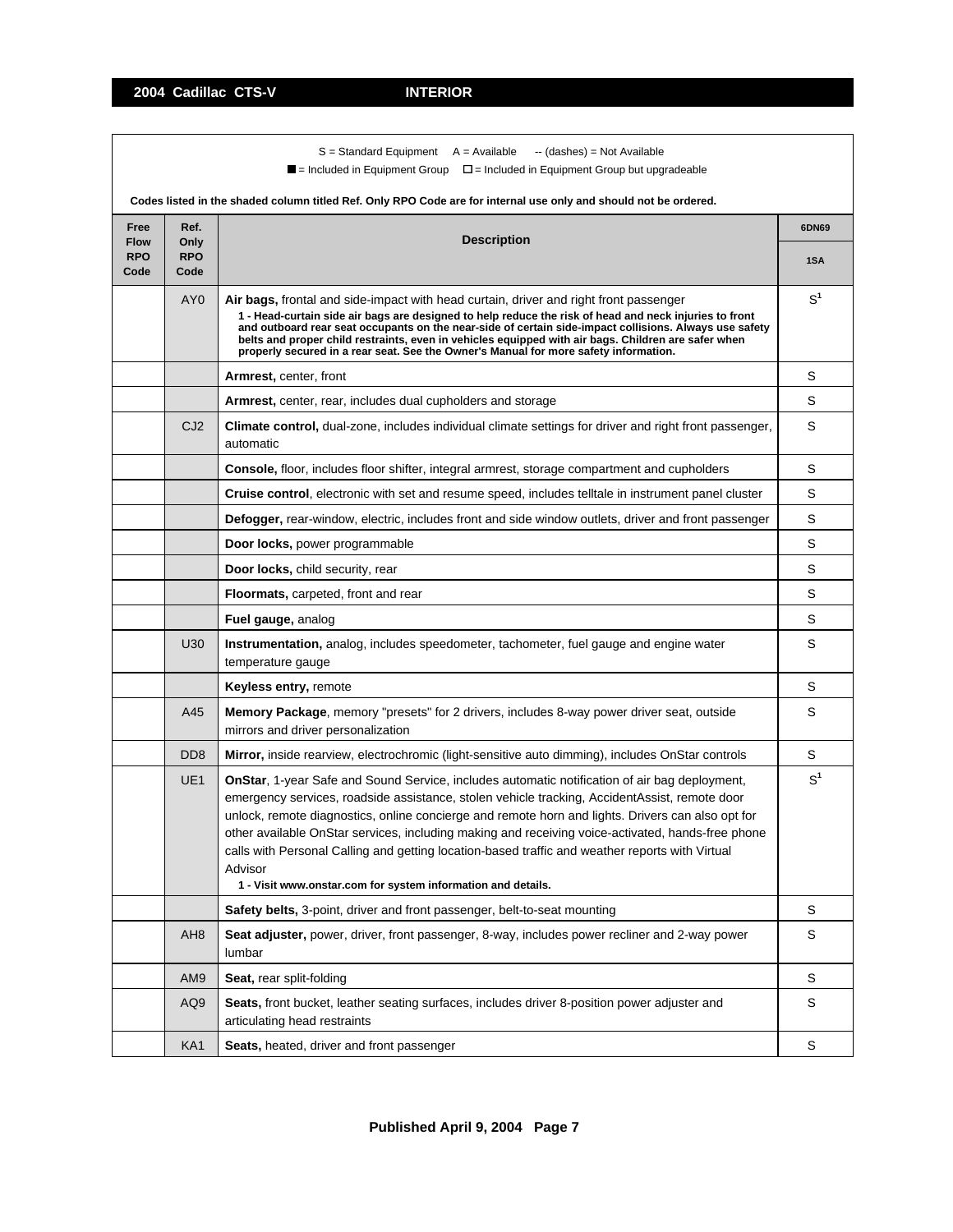|                                   |                                                  | $S =$ Standard Equipment $A =$ Available<br>-- (dashes) = Not Available<br>$\blacksquare$ = Included in Equipment Group $\blacksquare$ = Included in Equipment Group but upgradeable<br>Codes listed in the shaded column titled Ref. Only RPO Code are for internal use only and should not be ordered.                                                                                                                                                                                                                                                                                      |                |  |
|-----------------------------------|--------------------------------------------------|-----------------------------------------------------------------------------------------------------------------------------------------------------------------------------------------------------------------------------------------------------------------------------------------------------------------------------------------------------------------------------------------------------------------------------------------------------------------------------------------------------------------------------------------------------------------------------------------------|----------------|--|
| Free                              | Ref.                                             |                                                                                                                                                                                                                                                                                                                                                                                                                                                                                                                                                                                               | 6DN69          |  |
| <b>Flow</b><br><b>RPO</b><br>Code | <b>Description</b><br>Only<br><b>RPO</b><br>Code |                                                                                                                                                                                                                                                                                                                                                                                                                                                                                                                                                                                               |                |  |
|                                   | AY <sub>0</sub>                                  | Air bags, frontal and side-impact with head curtain, driver and right front passenger<br>1 - Head-curtain side air bags are designed to help reduce the risk of head and neck injuries to front<br>and outboard rear seat occupants on the near-side of certain side-impact collisions. Always use safety<br>belts and proper child restraints, even in vehicles equipped with air bags. Children are safer when<br>properly secured in a rear seat. See the Owner's Manual for more safety information.                                                                                      | $S^1$          |  |
|                                   |                                                  | <b>Armrest, center, front</b>                                                                                                                                                                                                                                                                                                                                                                                                                                                                                                                                                                 | S              |  |
|                                   |                                                  | <b>Armrest,</b> center, rear, includes dual cupholders and storage                                                                                                                                                                                                                                                                                                                                                                                                                                                                                                                            | S              |  |
|                                   | CJ <sub>2</sub>                                  | Climate control, dual-zone, includes individual climate settings for driver and right front passenger,<br>automatic                                                                                                                                                                                                                                                                                                                                                                                                                                                                           | S              |  |
|                                   |                                                  | <b>Console, floor, includes floor shifter, integral armrest, storage compartment and cupholders</b>                                                                                                                                                                                                                                                                                                                                                                                                                                                                                           | S              |  |
|                                   |                                                  | Cruise control, electronic with set and resume speed, includes telltale in instrument panel cluster                                                                                                                                                                                                                                                                                                                                                                                                                                                                                           | S              |  |
|                                   |                                                  | Defogger, rear-window, electric, includes front and side window outlets, driver and front passenger                                                                                                                                                                                                                                                                                                                                                                                                                                                                                           | S              |  |
|                                   |                                                  | Door locks, power programmable                                                                                                                                                                                                                                                                                                                                                                                                                                                                                                                                                                | S              |  |
|                                   |                                                  | Door locks, child security, rear                                                                                                                                                                                                                                                                                                                                                                                                                                                                                                                                                              | S              |  |
|                                   |                                                  | <b>Floormats, carpeted, front and rear</b>                                                                                                                                                                                                                                                                                                                                                                                                                                                                                                                                                    | S              |  |
|                                   |                                                  | Fuel gauge, analog                                                                                                                                                                                                                                                                                                                                                                                                                                                                                                                                                                            | S              |  |
|                                   | U30                                              | <b>Instrumentation,</b> analog, includes speedometer, tachometer, fuel gauge and engine water<br>temperature gauge                                                                                                                                                                                                                                                                                                                                                                                                                                                                            | S              |  |
|                                   |                                                  | Keyless entry, remote                                                                                                                                                                                                                                                                                                                                                                                                                                                                                                                                                                         | S              |  |
|                                   | A45                                              | Memory Package, memory "presets" for 2 drivers, includes 8-way power driver seat, outside<br>mirrors and driver personalization                                                                                                                                                                                                                                                                                                                                                                                                                                                               | S              |  |
|                                   | D <sub>D</sub> 8                                 | Mirror, inside rearview, electrochromic (light-sensitive auto dimming), includes OnStar controls                                                                                                                                                                                                                                                                                                                                                                                                                                                                                              | S              |  |
|                                   | UE <sub>1</sub>                                  | <b>OnStar, 1-year Safe and Sound Service, includes automatic notification of air bag deployment,</b><br>emergency services, roadside assistance, stolen vehicle tracking, AccidentAssist, remote door<br>unlock, remote diagnostics, online concierge and remote horn and lights. Drivers can also opt for<br>other available OnStar services, including making and receiving voice-activated, hands-free phone<br>calls with Personal Calling and getting location-based traffic and weather reports with Virtual<br>Advisor<br>1 - Visit www.onstar.com for system information and details. | S <sup>1</sup> |  |
|                                   |                                                  | Safety belts, 3-point, driver and front passenger, belt-to-seat mounting                                                                                                                                                                                                                                                                                                                                                                                                                                                                                                                      | S              |  |
|                                   | AH8                                              | Seat adjuster, power, driver, front passenger, 8-way, includes power recliner and 2-way power<br>lumbar                                                                                                                                                                                                                                                                                                                                                                                                                                                                                       | S              |  |
|                                   | AM9                                              | Seat, rear split-folding                                                                                                                                                                                                                                                                                                                                                                                                                                                                                                                                                                      | S              |  |
|                                   | AQ9                                              | Seats, front bucket, leather seating surfaces, includes driver 8-position power adjuster and<br>articulating head restraints                                                                                                                                                                                                                                                                                                                                                                                                                                                                  | S              |  |
|                                   | KA1                                              | Seats, heated, driver and front passenger                                                                                                                                                                                                                                                                                                                                                                                                                                                                                                                                                     | S              |  |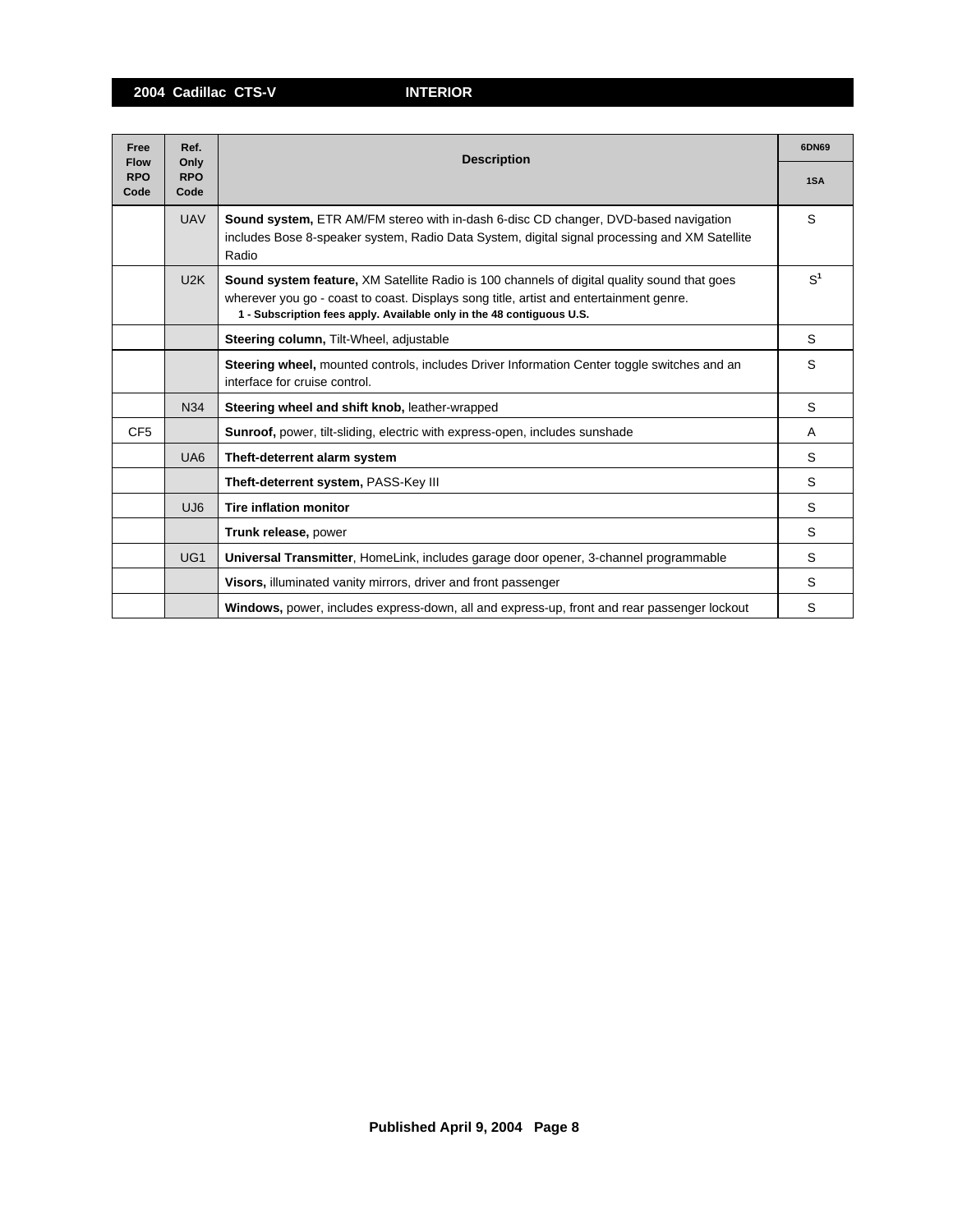**2004 Cadillac CTS-V INTERIOR**

| Free                              | Ref.<br>Only       | <b>Description</b>                                                                                                                                                                                                                                                    |                |  |  |
|-----------------------------------|--------------------|-----------------------------------------------------------------------------------------------------------------------------------------------------------------------------------------------------------------------------------------------------------------------|----------------|--|--|
| <b>Flow</b><br><b>RPO</b><br>Code | <b>RPO</b><br>Code |                                                                                                                                                                                                                                                                       |                |  |  |
|                                   | <b>UAV</b>         | <b>Sound system, ETR AM/FM stereo with in-dash 6-disc CD changer, DVD-based navigation</b><br>includes Bose 8-speaker system, Radio Data System, digital signal processing and XM Satellite<br>Radio                                                                  | S              |  |  |
|                                   | U2K                | <b>Sound system feature, XM Satellite Radio is 100 channels of digital quality sound that goes</b><br>wherever you go - coast to coast. Displays song title, artist and entertainment genre.<br>1 - Subscription fees apply. Available only in the 48 contiguous U.S. | S <sup>1</sup> |  |  |
|                                   |                    | Steering column, Tilt-Wheel, adjustable                                                                                                                                                                                                                               | S              |  |  |
|                                   |                    | Steering wheel, mounted controls, includes Driver Information Center toggle switches and an<br>interface for cruise control.                                                                                                                                          | S              |  |  |
|                                   | <b>N34</b>         | Steering wheel and shift knob, leather-wrapped                                                                                                                                                                                                                        | S              |  |  |
| CF <sub>5</sub>                   |                    | Sunroof, power, tilt-sliding, electric with express-open, includes sunshade                                                                                                                                                                                           | A              |  |  |
|                                   | UA <sub>6</sub>    | Theft-deterrent alarm system                                                                                                                                                                                                                                          | S              |  |  |
|                                   |                    | Theft-deterrent system, PASS-Key III                                                                                                                                                                                                                                  | S              |  |  |
|                                   | UJ <sub>6</sub>    | <b>Tire inflation monitor</b>                                                                                                                                                                                                                                         | S              |  |  |
|                                   |                    | Trunk release, power                                                                                                                                                                                                                                                  | S              |  |  |
|                                   | UG <sub>1</sub>    | Universal Transmitter, HomeLink, includes garage door opener, 3-channel programmable                                                                                                                                                                                  | S              |  |  |
|                                   |                    | Visors, illuminated vanity mirrors, driver and front passenger                                                                                                                                                                                                        | S              |  |  |
|                                   |                    | Windows, power, includes express-down, all and express-up, front and rear passenger lockout                                                                                                                                                                           | S              |  |  |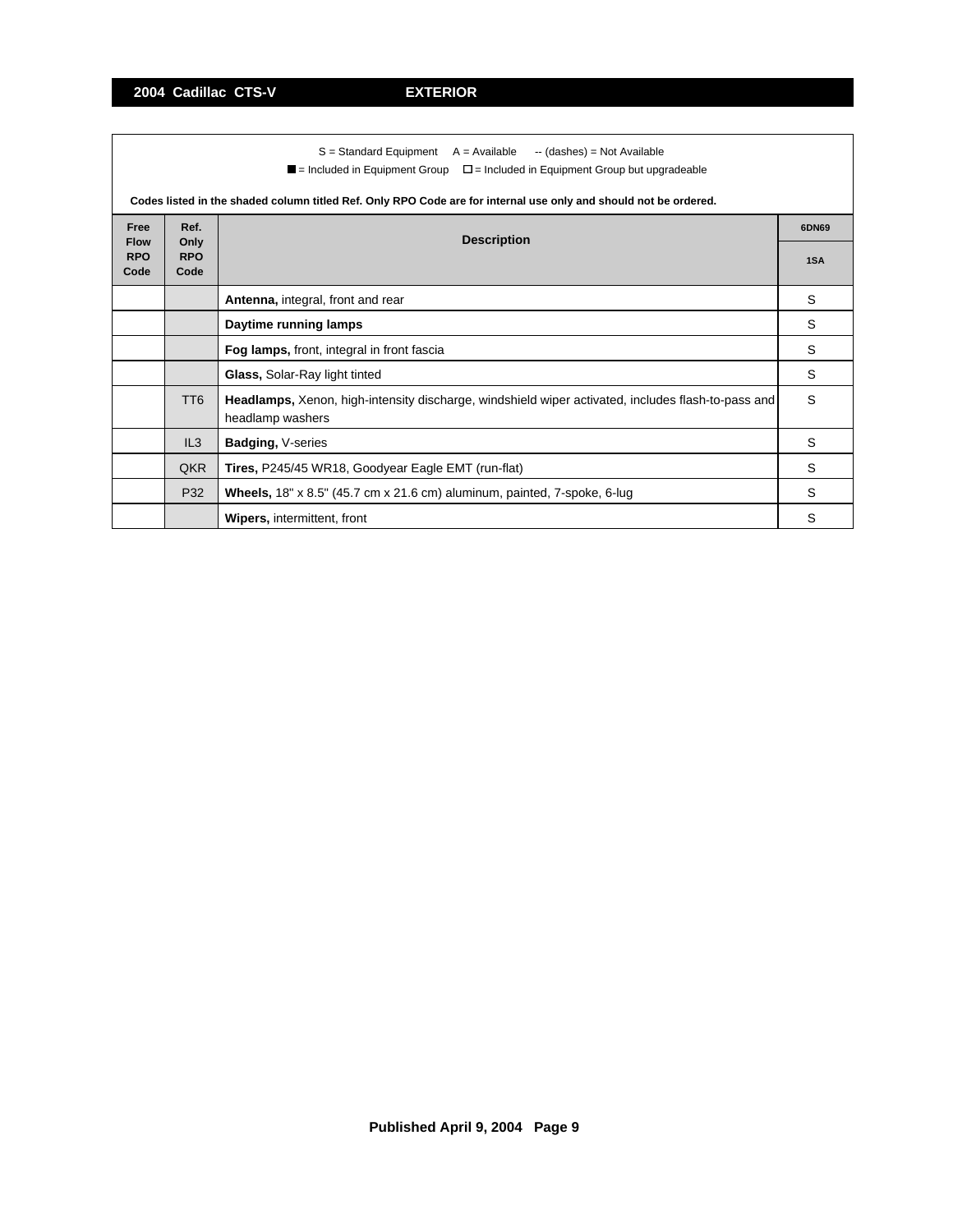|                     | $S =$ Standard Equipment $A =$ Available $\rightarrow$ (dashes) = Not Available<br>$\blacksquare$ = Included in Equipment Group $\square$ = Included in Equipment Group but upgradeable |                                                                                                                        |   |  |  |  |  |
|---------------------|-----------------------------------------------------------------------------------------------------------------------------------------------------------------------------------------|------------------------------------------------------------------------------------------------------------------------|---|--|--|--|--|
|                     | Codes listed in the shaded column titled Ref. Only RPO Code are for internal use only and should not be ordered.                                                                        |                                                                                                                        |   |  |  |  |  |
| Free<br><b>Flow</b> | Ref.<br><b>Description</b><br>Only                                                                                                                                                      |                                                                                                                        |   |  |  |  |  |
| <b>RPO</b><br>Code  | <b>RPO</b><br>Code                                                                                                                                                                      |                                                                                                                        |   |  |  |  |  |
|                     |                                                                                                                                                                                         | Antenna, integral, front and rear                                                                                      | S |  |  |  |  |
|                     |                                                                                                                                                                                         | Daytime running lamps                                                                                                  | S |  |  |  |  |
|                     |                                                                                                                                                                                         | Fog lamps, front, integral in front fascia                                                                             | S |  |  |  |  |
|                     |                                                                                                                                                                                         | Glass, Solar-Ray light tinted                                                                                          | S |  |  |  |  |
|                     | TT <sub>6</sub>                                                                                                                                                                         | Headlamps, Xenon, high-intensity discharge, windshield wiper activated, includes flash-to-pass and<br>headlamp washers | S |  |  |  |  |
|                     | IL3                                                                                                                                                                                     | Badging, V-series                                                                                                      | S |  |  |  |  |
|                     | QKR                                                                                                                                                                                     | Tires, P245/45 WR18, Goodyear Eagle EMT (run-flat)                                                                     | S |  |  |  |  |
|                     | P32                                                                                                                                                                                     | <b>Wheels,</b> $18" \times 8.5"$ (45.7 cm x 21.6 cm) aluminum, painted, 7-spoke, 6-lug                                 | S |  |  |  |  |
|                     |                                                                                                                                                                                         | <b>Wipers, intermittent, front</b>                                                                                     | S |  |  |  |  |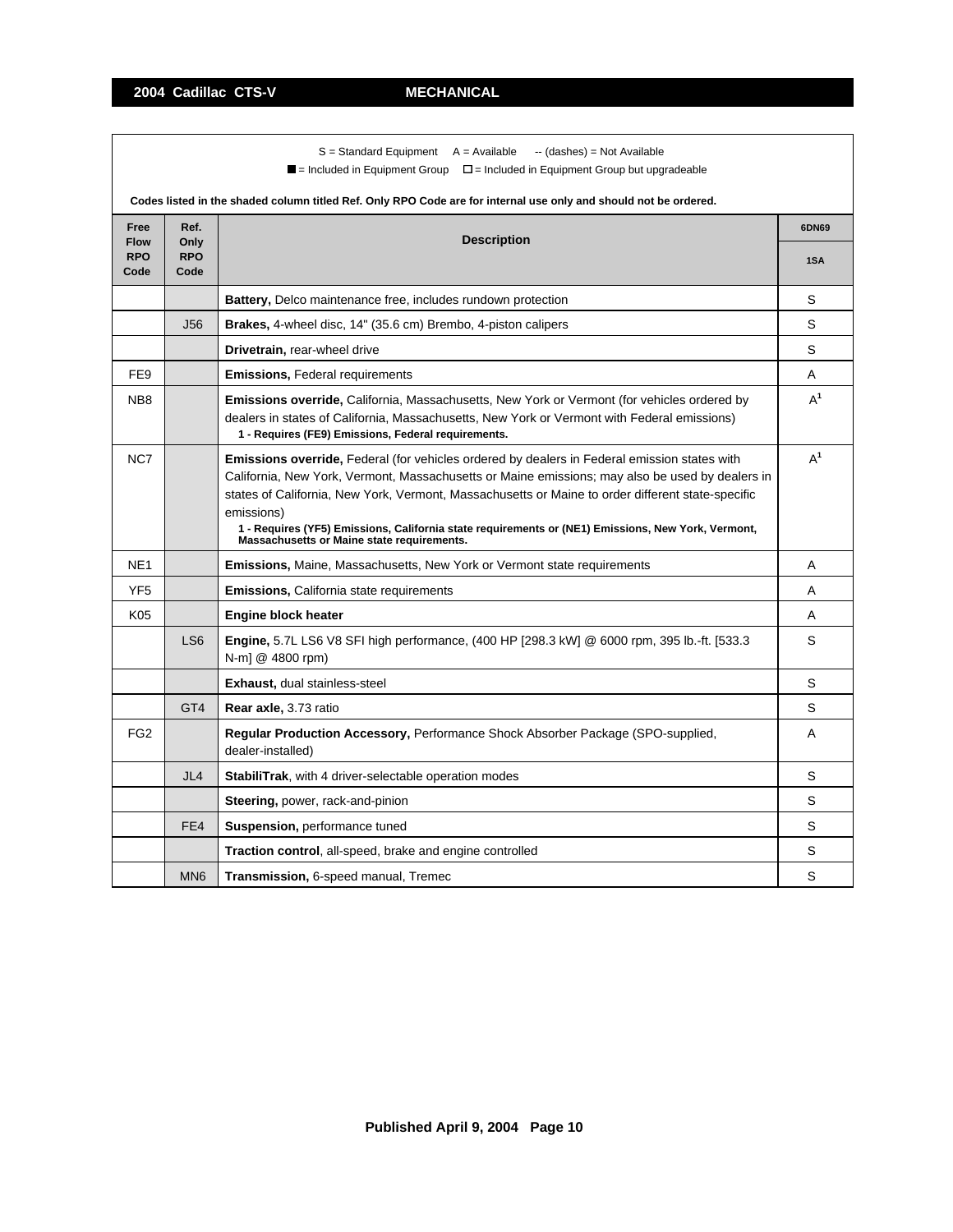**2004 Cadillac CTS-V MECHANICAL**

|                                                           |                    | $S =$ Standard Equipment $A =$ Available<br>-- (dashes) = Not Available<br>$\blacksquare$ = Included in Equipment Group $\blacksquare$ = Included in Equipment Group but upgradeable                                                                                                                                                                                                                                                                                                   |       |  |  |  |  |
|-----------------------------------------------------------|--------------------|----------------------------------------------------------------------------------------------------------------------------------------------------------------------------------------------------------------------------------------------------------------------------------------------------------------------------------------------------------------------------------------------------------------------------------------------------------------------------------------|-------|--|--|--|--|
|                                                           |                    | Codes listed in the shaded column titled Ref. Only RPO Code are for internal use only and should not be ordered.                                                                                                                                                                                                                                                                                                                                                                       |       |  |  |  |  |
| Ref.<br>Free<br><b>Description</b><br><b>Flow</b><br>Only |                    |                                                                                                                                                                                                                                                                                                                                                                                                                                                                                        |       |  |  |  |  |
| <b>RPO</b><br>Code                                        | <b>RPO</b><br>Code |                                                                                                                                                                                                                                                                                                                                                                                                                                                                                        |       |  |  |  |  |
|                                                           |                    | <b>Battery, Delco maintenance free, includes rundown protection</b>                                                                                                                                                                                                                                                                                                                                                                                                                    | S     |  |  |  |  |
|                                                           | J56                | <b>Brakes, 4-wheel disc, 14" (35.6 cm) Brembo, 4-piston calipers</b>                                                                                                                                                                                                                                                                                                                                                                                                                   | S     |  |  |  |  |
|                                                           |                    | Drivetrain, rear-wheel drive                                                                                                                                                                                                                                                                                                                                                                                                                                                           | S     |  |  |  |  |
| FE9                                                       |                    | <b>Emissions, Federal requirements</b>                                                                                                                                                                                                                                                                                                                                                                                                                                                 | Α     |  |  |  |  |
| NB <sub>8</sub>                                           |                    | <b>Emissions override, California, Massachusetts, New York or Vermont (for vehicles ordered by</b><br>dealers in states of California, Massachusetts, New York or Vermont with Federal emissions)<br>1 - Requires (FE9) Emissions, Federal requirements.                                                                                                                                                                                                                               | $A^1$ |  |  |  |  |
| NC7                                                       |                    | $A^1$<br><b>Emissions override, Federal (for vehicles ordered by dealers in Federal emission states with</b><br>California, New York, Vermont, Massachusetts or Maine emissions; may also be used by dealers in<br>states of California, New York, Vermont, Massachusetts or Maine to order different state-specific<br>emissions)<br>1 - Requires (YF5) Emissions, California state requirements or (NE1) Emissions, New York, Vermont,<br>Massachusetts or Maine state requirements. |       |  |  |  |  |
| NE <sub>1</sub>                                           |                    | <b>Emissions, Maine, Massachusetts, New York or Vermont state requirements</b>                                                                                                                                                                                                                                                                                                                                                                                                         | A     |  |  |  |  |
| YF <sub>5</sub>                                           |                    | <b>Emissions, California state requirements</b>                                                                                                                                                                                                                                                                                                                                                                                                                                        | A     |  |  |  |  |
| K05                                                       |                    | <b>Engine block heater</b>                                                                                                                                                                                                                                                                                                                                                                                                                                                             | Α     |  |  |  |  |
|                                                           | LS <sub>6</sub>    | <b>Engine, 5.7L LS6 V8 SFI high performance, (400 HP [298.3 kW] @ 6000 rpm, 395 lb.-ft. [533.3</b><br>N-m] @ 4800 rpm)                                                                                                                                                                                                                                                                                                                                                                 | S     |  |  |  |  |
|                                                           |                    | <b>Exhaust, dual stainless-steel</b>                                                                                                                                                                                                                                                                                                                                                                                                                                                   | S     |  |  |  |  |
|                                                           | GT <sub>4</sub>    | Rear axle, 3.73 ratio                                                                                                                                                                                                                                                                                                                                                                                                                                                                  | S     |  |  |  |  |
| FG <sub>2</sub>                                           |                    | Regular Production Accessory, Performance Shock Absorber Package (SPO-supplied,<br>dealer-installed)                                                                                                                                                                                                                                                                                                                                                                                   | A     |  |  |  |  |
|                                                           | JL4                | StabiliTrak, with 4 driver-selectable operation modes                                                                                                                                                                                                                                                                                                                                                                                                                                  | S     |  |  |  |  |
|                                                           |                    | Steering, power, rack-and-pinion                                                                                                                                                                                                                                                                                                                                                                                                                                                       | S     |  |  |  |  |
|                                                           | FE4                | <b>Suspension, performance tuned</b>                                                                                                                                                                                                                                                                                                                                                                                                                                                   | S     |  |  |  |  |
|                                                           |                    | Traction control, all-speed, brake and engine controlled                                                                                                                                                                                                                                                                                                                                                                                                                               | S     |  |  |  |  |
|                                                           | MN <sub>6</sub>    | Transmission, 6-speed manual, Tremec                                                                                                                                                                                                                                                                                                                                                                                                                                                   | S     |  |  |  |  |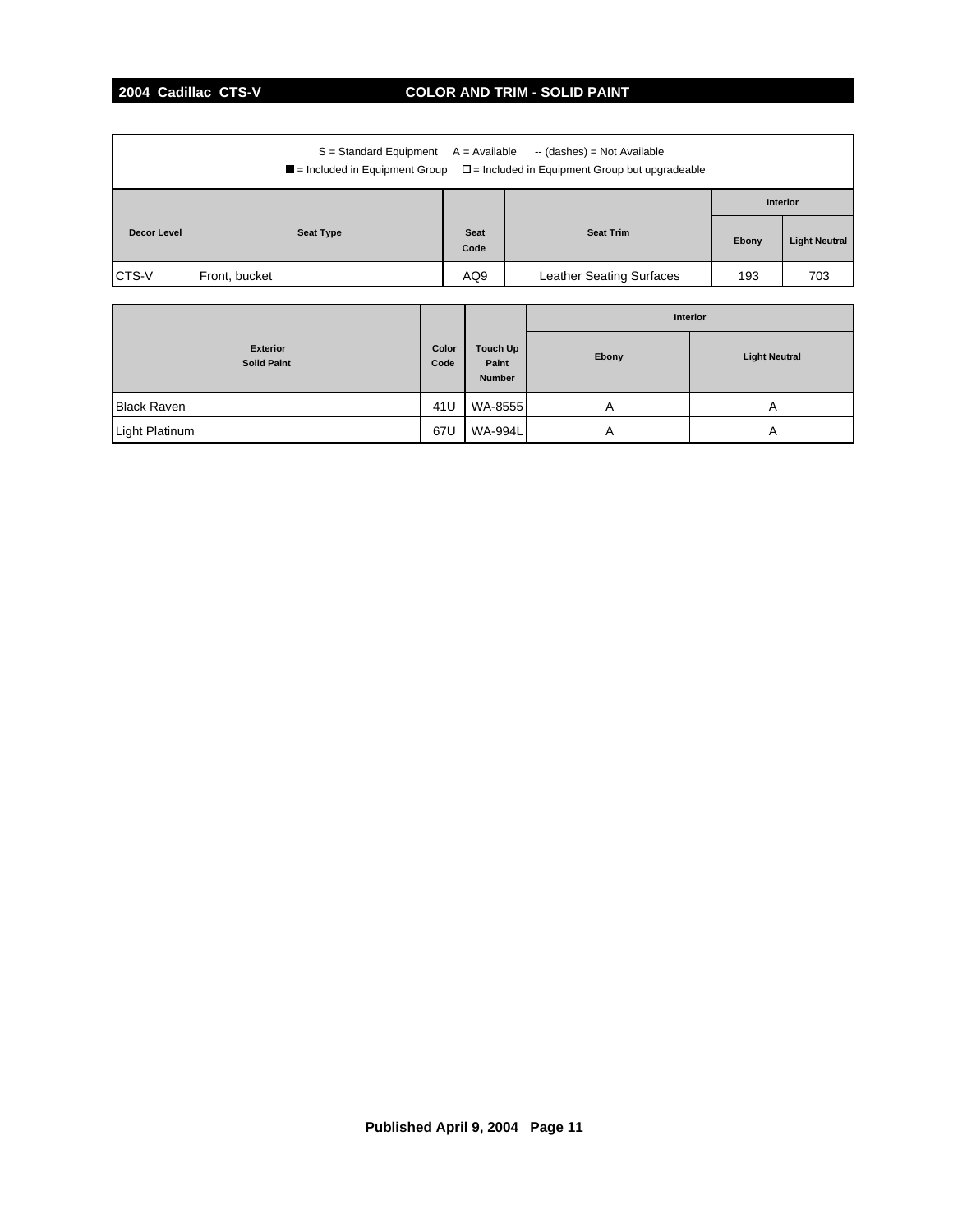# **2004 Cadillac CTS-V COLOR AND TRIM - SOLID PAINT**

| $S =$ Standard Equipment $A =$ Available<br>-- (dashes) = Not Available<br>$\blacksquare$ = Included in Equipment Group $\square$ = Included in Equipment Group but upgradeable |                  |                     |                                 |       |                      |  |
|---------------------------------------------------------------------------------------------------------------------------------------------------------------------------------|------------------|---------------------|---------------------------------|-------|----------------------|--|
|                                                                                                                                                                                 |                  |                     |                                 |       | <b>Interior</b>      |  |
| Decor Level                                                                                                                                                                     | <b>Seat Type</b> | <b>Seat</b><br>Code | <b>Seat Trim</b>                | Ebony | <b>Light Neutral</b> |  |
| <b>CTS-V</b>                                                                                                                                                                    | Front, bucket    | AQ9                 | <b>Leather Seating Surfaces</b> | 193   | 703                  |  |

|                                       |               |                                    | Interior |                      |
|---------------------------------------|---------------|------------------------------------|----------|----------------------|
| <b>Exterior</b><br><b>Solid Paint</b> | Color<br>Code | Touch Up<br>Paint<br><b>Number</b> | Ebony    | <b>Light Neutral</b> |
| <b>Black Raven</b>                    | 41U           | WA-8555                            | A        | A                    |
| Light Platinum                        | 67U           | <b>WA-994L</b>                     | A        | A                    |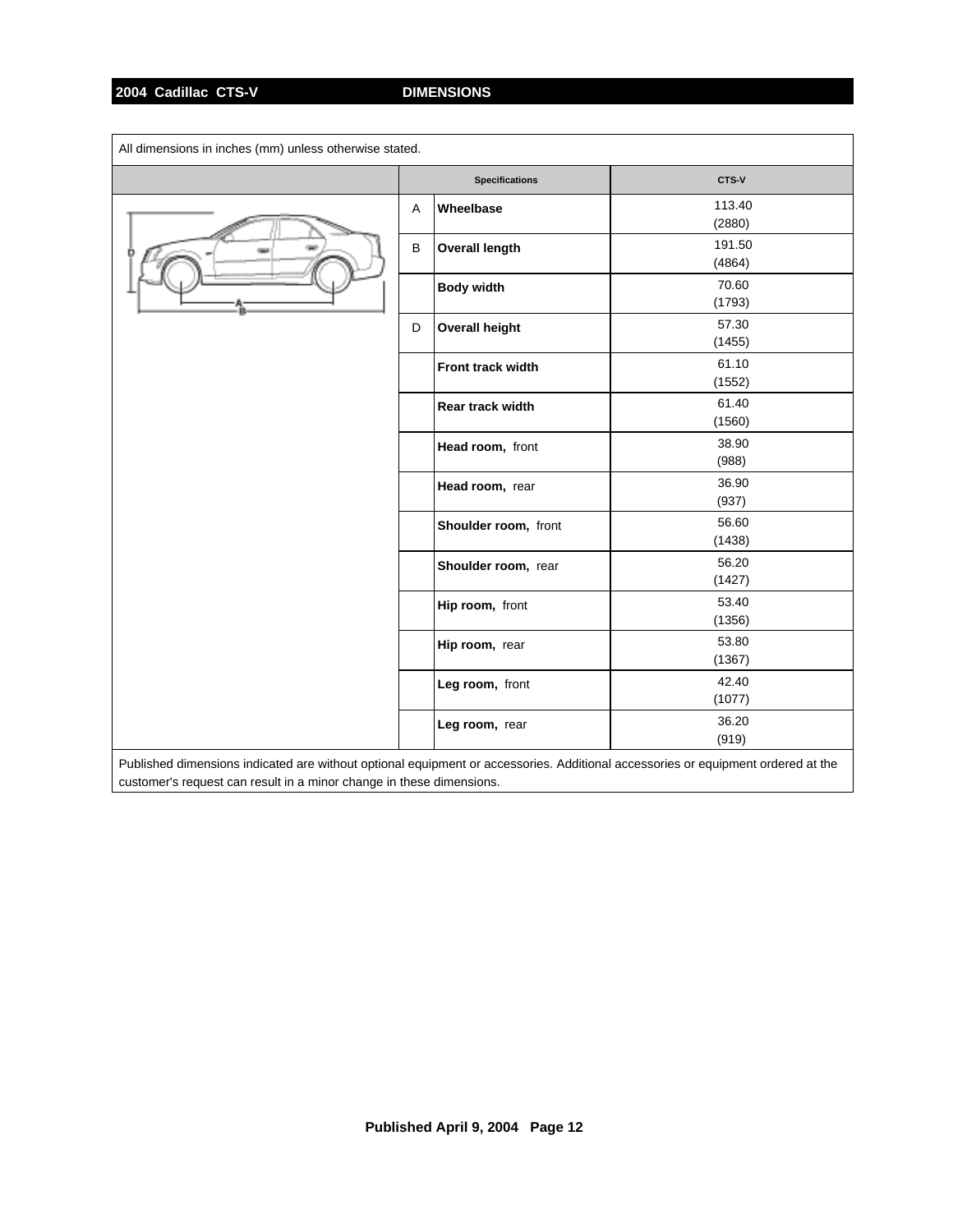## **2004 Cadillac CTS-V DIMENSIONS**

| All dimensions in inches (mm) unless otherwise stated.                                                                           |         |                       |                  |  |
|----------------------------------------------------------------------------------------------------------------------------------|---------|-----------------------|------------------|--|
|                                                                                                                                  |         | <b>Specifications</b> | CTS-V            |  |
|                                                                                                                                  | A       | Wheelbase             | 113.40<br>(2880) |  |
|                                                                                                                                  | $\sf B$ | <b>Overall length</b> | 191.50<br>(4864) |  |
|                                                                                                                                  |         | <b>Body width</b>     | 70.60<br>(1793)  |  |
|                                                                                                                                  | D       | <b>Overall height</b> | 57.30<br>(1455)  |  |
|                                                                                                                                  |         | Front track width     | 61.10<br>(1552)  |  |
|                                                                                                                                  |         | Rear track width      | 61.40<br>(1560)  |  |
|                                                                                                                                  |         | Head room, front      | 38.90<br>(988)   |  |
|                                                                                                                                  |         | Head room, rear       | 36.90<br>(937)   |  |
|                                                                                                                                  |         | Shoulder room, front  | 56.60<br>(1438)  |  |
|                                                                                                                                  |         | Shoulder room, rear   | 56.20<br>(1427)  |  |
|                                                                                                                                  |         | Hip room, front       | 53.40<br>(1356)  |  |
|                                                                                                                                  |         | Hip room, rear        | 53.80<br>(1367)  |  |
|                                                                                                                                  |         | Leg room, front       | 42.40<br>(1077)  |  |
|                                                                                                                                  |         | Leg room, rear        | 36.20<br>(919)   |  |
| Published dimensions indicated are without optional equipment or accessories. Additional accessories or equipment ordered at the |         |                       |                  |  |

customer's request can result in a minor change in these dimensions.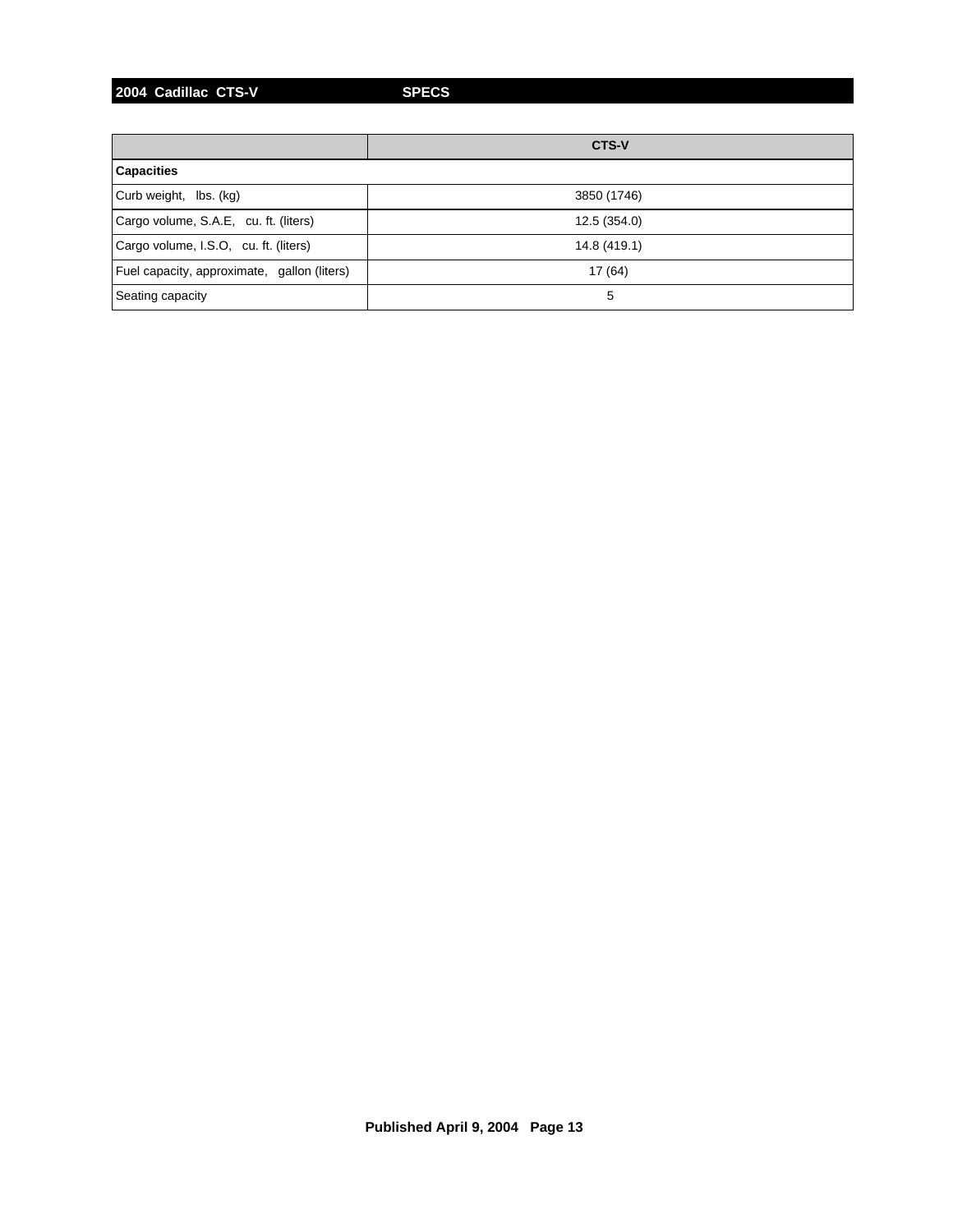**2004 Cadillac CTS-V SPECS**

|                                             | <b>CTS-V</b> |
|---------------------------------------------|--------------|
| <b>Capacities</b>                           |              |
| Curb weight, lbs. (kg)                      | 3850 (1746)  |
| Cargo volume, S.A.E, cu. ft. (liters)       | 12.5 (354.0) |
| Cargo volume, I.S.O, cu. ft. (liters)       | 14.8 (419.1) |
| Fuel capacity, approximate, gallon (liters) | 17 (64)      |
| Seating capacity                            | 5            |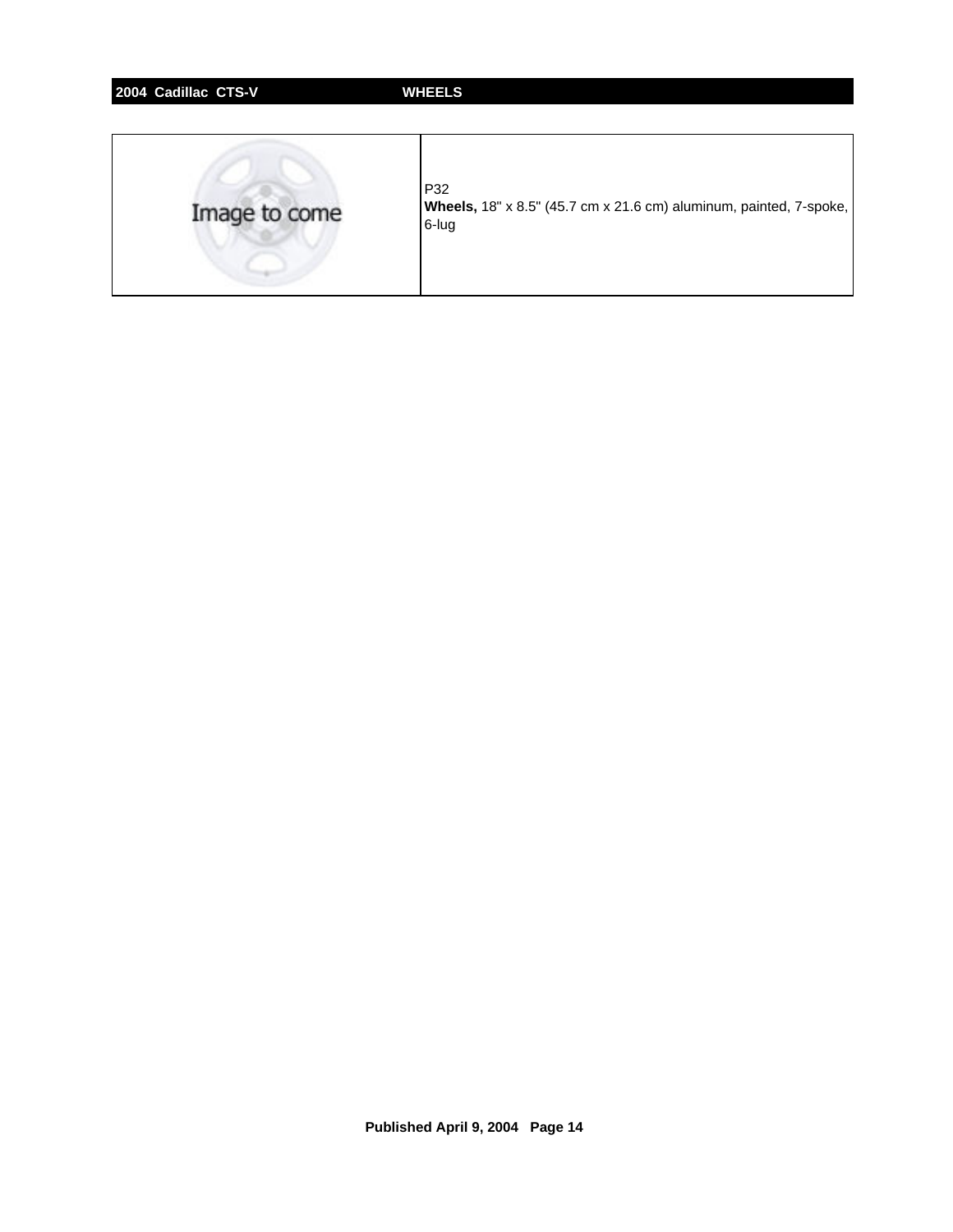| 2004 Cadillac CTS-V | <b>WHEELS</b>                                                                      |
|---------------------|------------------------------------------------------------------------------------|
| Image to come       | P32<br>Wheels, 18" x 8.5" (45.7 cm x 21.6 cm) aluminum, painted, 7-spoke,<br>6-lug |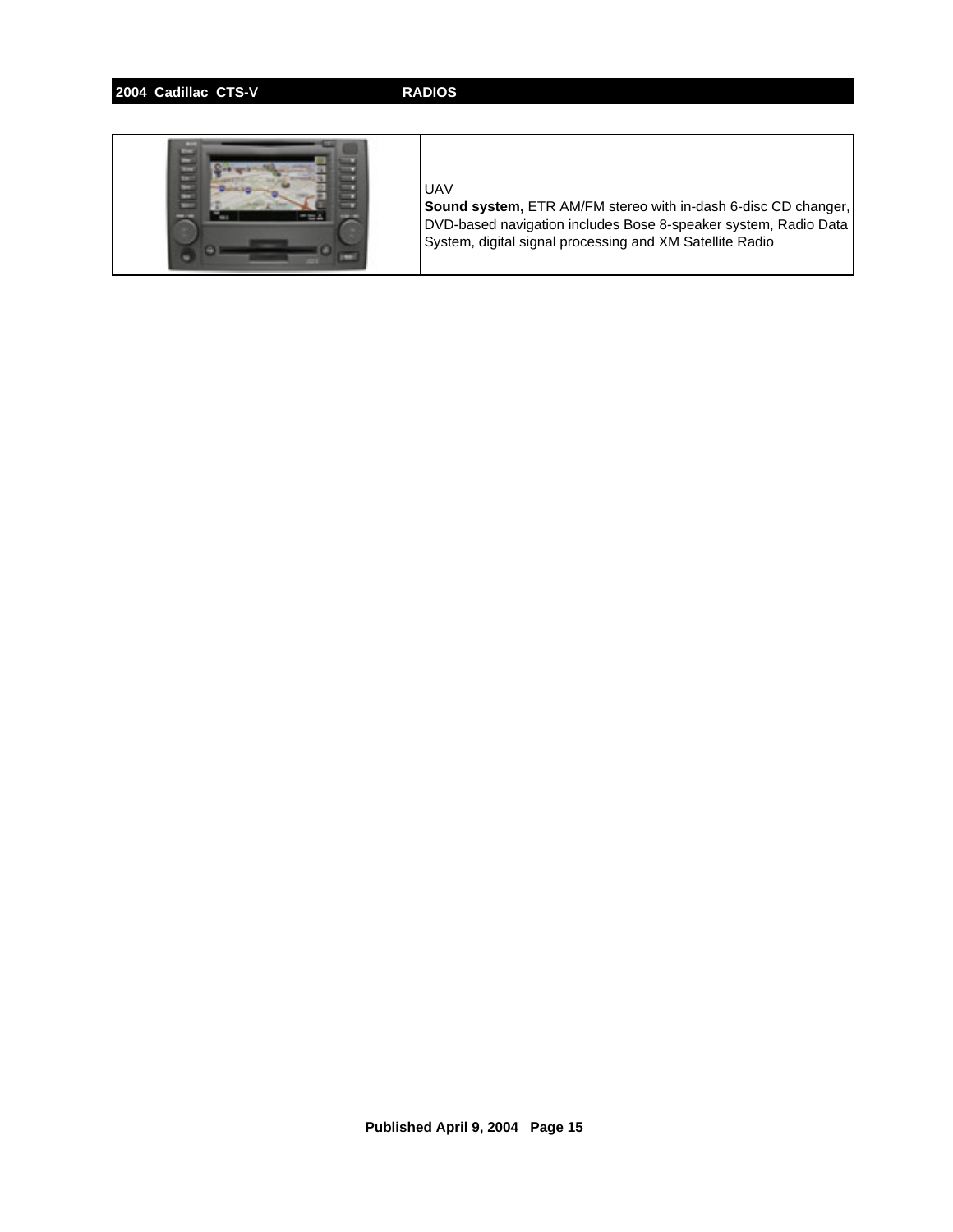# **2004 Cadillac CTS-V RADIOS**



## UAV

**Sound system,** ETR AM/FM stereo with in-dash 6-disc CD changer, DVD-based navigation includes Bose 8-speaker system, Radio Data System, digital signal processing and XM Satellite Radio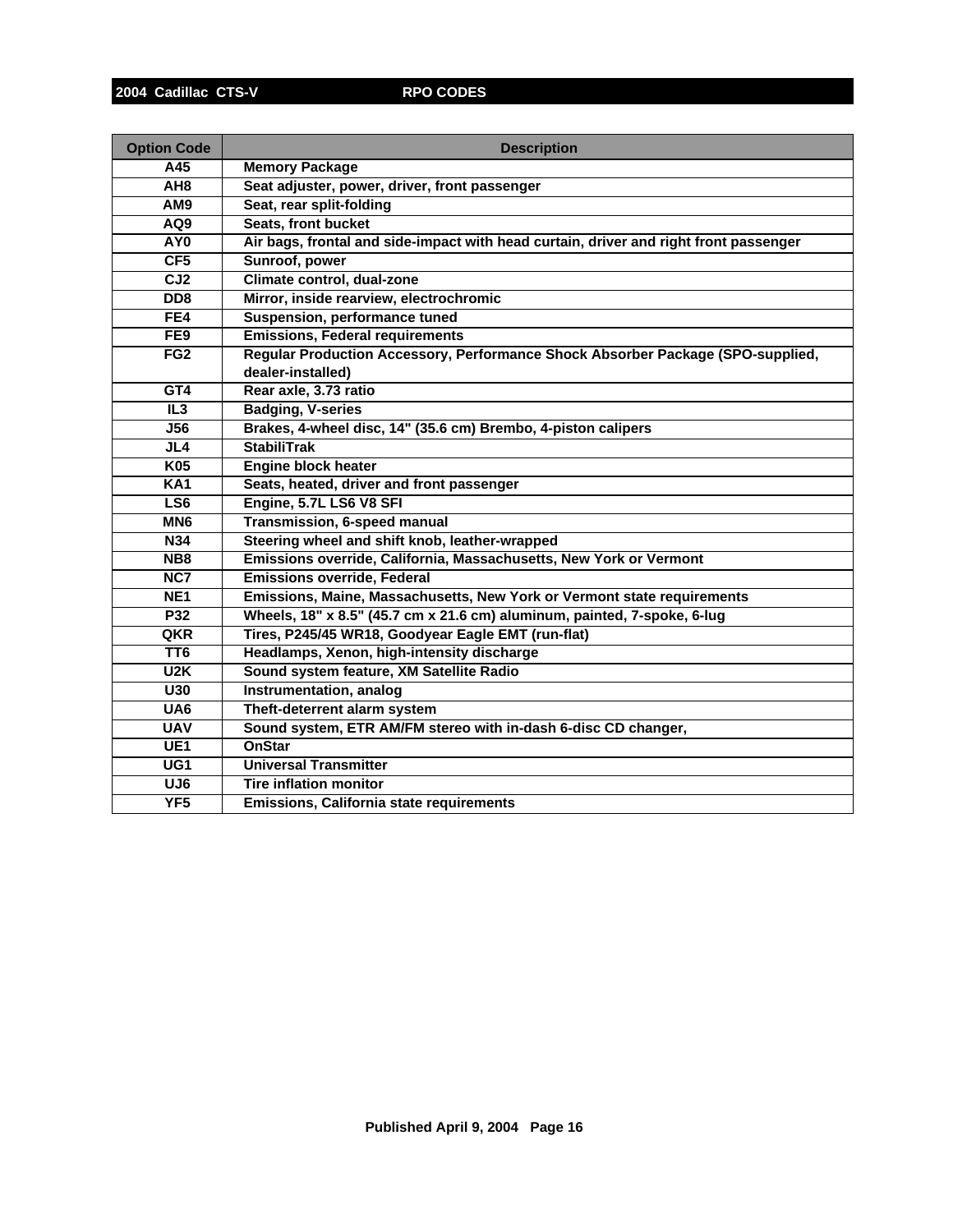| <b>Option Code</b> | <b>Description</b>                                                                    |
|--------------------|---------------------------------------------------------------------------------------|
| A45                | <b>Memory Package</b>                                                                 |
| AH <sub>8</sub>    | Seat adjuster, power, driver, front passenger                                         |
| AM9                | Seat, rear split-folding                                                              |
| AQ9                | Seats, front bucket                                                                   |
| AY <sub>0</sub>    | Air bags, frontal and side-impact with head curtain, driver and right front passenger |
| CF5                | Sunroof, power                                                                        |
| $\overline{CJ2}$   | Climate control, dual-zone                                                            |
| DD <sub>8</sub>    | Mirror, inside rearview, electrochromic                                               |
| FE4                | Suspension, performance tuned                                                         |
| FE9                | <b>Emissions, Federal requirements</b>                                                |
| FG <sub>2</sub>    | Regular Production Accessory, Performance Shock Absorber Package (SPO-supplied,       |
|                    | dealer-installed)                                                                     |
| GT4                | Rear axle, 3.73 ratio                                                                 |
| IL3                | <b>Badging, V-series</b>                                                              |
| <b>J56</b>         | Brakes, 4-wheel disc, 14" (35.6 cm) Brembo, 4-piston calipers                         |
| JL4                | <b>StabiliTrak</b>                                                                    |
| K05                | <b>Engine block heater</b>                                                            |
| <b>KA1</b>         | Seats, heated, driver and front passenger                                             |
| LS <sub>6</sub>    | Engine, 5.7L LS6 V8 SFI                                                               |
| MN <sub>6</sub>    | Transmission, 6-speed manual                                                          |
| <b>N34</b>         | Steering wheel and shift knob, leather-wrapped                                        |
| NB8                | Emissions override, California, Massachusetts, New York or Vermont                    |
| NC7                | <b>Emissions override, Federal</b>                                                    |
| NE <sub>1</sub>    | Emissions, Maine, Massachusetts, New York or Vermont state requirements               |
| P32                | Wheels, 18" x 8.5" (45.7 cm x 21.6 cm) aluminum, painted, 7-spoke, 6-lug              |
| QKR                | Tires, P245/45 WR18, Goodyear Eagle EMT (run-flat)                                    |
| TT <sub>6</sub>    | Headlamps, Xenon, high-intensity discharge                                            |
| U2K                | Sound system feature, XM Satellite Radio                                              |
| U30                | <b>Instrumentation, analog</b>                                                        |
| UA6                | Theft-deterrent alarm system                                                          |
| <b>UAV</b>         | Sound system, ETR AM/FM stereo with in-dash 6-disc CD changer,                        |
| UE <sub>1</sub>    | <b>OnStar</b>                                                                         |
| $\overline{UG1}$   | <b>Universal Transmitter</b>                                                          |
| UJ <sub>6</sub>    | <b>Tire inflation monitor</b>                                                         |
| YF <sub>5</sub>    | Emissions, California state requirements                                              |